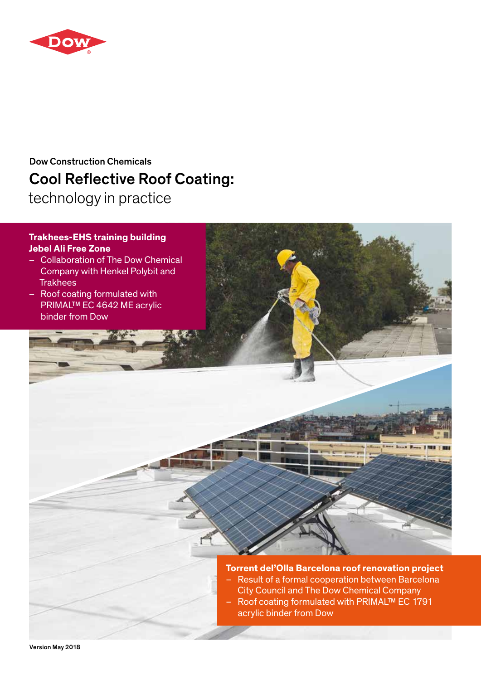

# Cool Reflective Roof Coating: Dow Construction Chemicals

technology in practice

### **Trakhees-EHS training building Jebel Ali Free Zone**

- Collaboration of The Dow Chemical Company with Henkel Polybit and **Trakhees**
- Roof coating formulated with PRIMAL™ EC 4642 ME acrylic binder from Dow

**Torrent del'Olla Barcelona roof renovation project** – Result of a formal cooperation between Barcelona

- City Council and The Dow Chemical Company
- Roof coating formulated with PRIMAL™ EC 1791 acrylic binder from Dow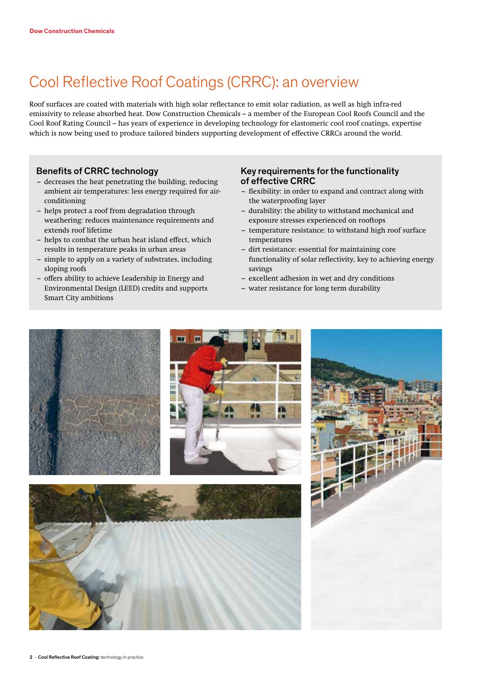# Cool Reflective Roof Coatings (CRRC): an overview

Roof surfaces are coated with materials with high solar reflectance to emit solar radiation, as well as high infra-red emissivity to release absorbed heat. Dow Construction Chemicals – a member of the European Cool Roofs Council and the Cool Roof Rating Council – has years of experience in developing technology for elastomeric cool roof coatings, expertise which is now being used to produce tailored binders supporting development of effective CRRCs around the world.

### Benefits of CRRC technology

- decreases the heat penetrating the building, reducing ambient air temperatures: less energy required for airconditioning
- helps protect a roof from degradation through weathering: reduces maintenance requirements and extends roof lifetime
- helps to combat the urban heat island effect, which results in temperature peaks in urban areas
- simple to apply on a variety of substrates, including sloping roofs
- offers ability to achieve Leadership in Energy and Environmental Design (LEED) credits and supports Smart City ambitions

#### Key requirements for the functionality of effective CRRC

- flexibility: in order to expand and contract along with the waterproofing layer
- durability: the ability to withstand mechanical and exposure stresses experienced on rooftops
- temperature resistance: to withstand high roof surface temperatures
- dirt resistance: essential for maintaining core functionality of solar reflectivity, key to achieving energy savings
- excellent adhesion in wet and dry conditions
- water resistance for long term durability

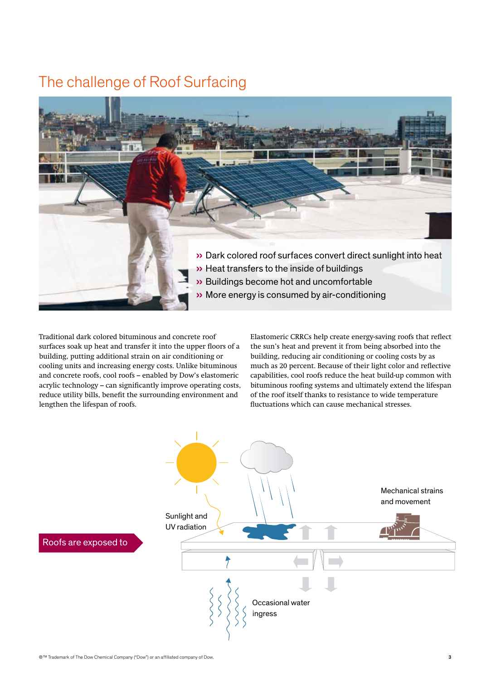## The challenge of Roof Surfacing



Traditional dark colored bituminous and concrete roof surfaces soak up heat and transfer it into the upper floors of a building, putting additional strain on air conditioning or cooling units and increasing energy costs. Unlike bituminous and concrete roofs, cool roofs – enabled by Dow's elastomeric acrylic technology – can significantly improve operating costs, reduce utility bills, benefit the surrounding environment and lengthen the lifespan of roofs.

Elastomeric CRRCs help create energy-saving roofs that reflect the sun's heat and prevent it from being absorbed into the building, reducing air conditioning or cooling costs by as much as 20 percent. Because of their light color and reflective capabilities, cool roofs reduce the heat build-up common with bituminous roofing systems and ultimately extend the lifespan of the roof itself thanks to resistance to wide temperature fluctuations which can cause mechanical stresses.

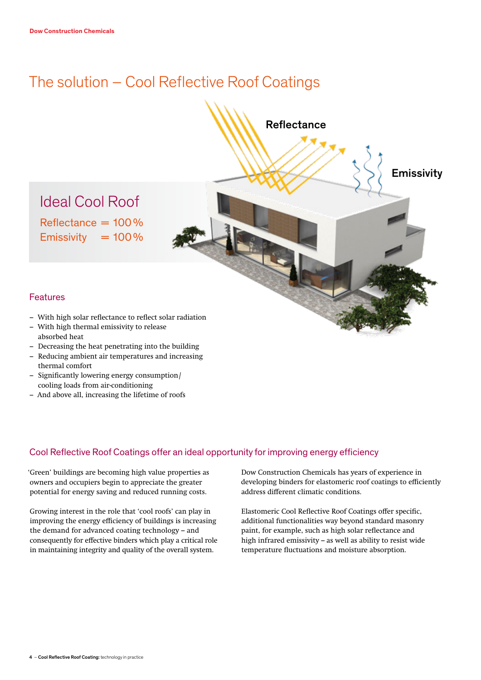# The solution – Cool Reflective Roof Coatings



- Decreasing the heat penetrating into the building
- Reducing ambient air temperatures and increasing thermal comfort
- Significantly lowering energy consumption/ cooling loads from air-conditioning
- And above all, increasing the lifetime of roofs

### Cool Reflective Roof Coatings offer an ideal opportunity for improving energy efficiency

'Green' buildings are becoming high value properties as owners and occupiers begin to appreciate the greater potential for energy saving and reduced running costs.

Growing interest in the role that 'cool roofs' can play in improving the energy efficiency of buildings is increasing the demand for advanced coating technology – and consequently for effective binders which play a critical role in maintaining integrity and quality of the overall system.

Dow Construction Chemicals has years of experience in developing binders for elastomeric roof coatings to efficiently address different climatic conditions.

Elastomeric Cool Reflective Roof Coatings offer specific, additional functionalities way beyond standard masonry paint, for example, such as high solar reflectance and high infrared emissivity – as well as ability to resist wide temperature fluctuations and moisture absorption.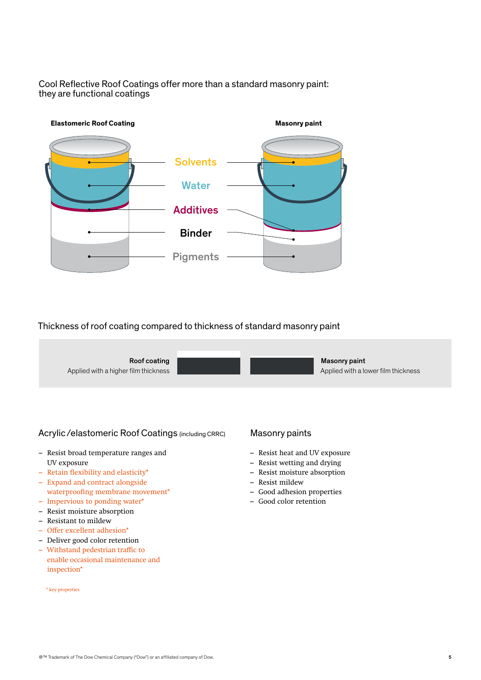Cool Reflective Roof Coatings offer more than a standard masonry paint: they are functional coatings



### Thickness of roof coating compared to thickness of standard masonry paint



### Acrylic /elastomeric Roof Coatings (including CRRC)

- Resist broad temperature ranges and UV exposure
- Retain flexibility and elasticity\*
- Expand and contract alongside waterproofing membrane movement\*
- Impervious to ponding water\*
- Resist moisture absorption
- Resistant to mildew
- Offer excellent adhesion\*
- Deliver good color retention
- Withstand pedestrian traffic to enable occasional maintenance and inspection\*

#### \* key properties

### Masonry paints

- Resist heat and UV exposure
- Resist wetting and drying
- Resist moisture absorption
- Resist mildew
- Good adhesion properties
- Good color retention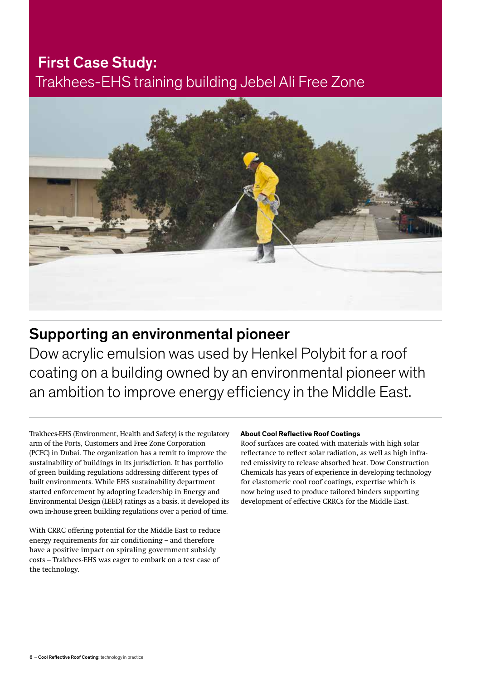## First Case Study: Trakhees-EHS training building Jebel Ali Free Zone



## Supporting an environmental pioneer

Dow acrylic emulsion was used by Henkel Polybit for a roof coating on a building owned by an environmental pioneer with an ambition to improve energy efficiency in the Middle East.

Trakhees-EHS (Environment, Health and Safety) is the regulatory arm of the Ports, Customers and Free Zone Corporation (PCFC) in Dubai. The organization has a remit to improve the sustainability of buildings in its jurisdiction. It has portfolio of green building regulations addressing different types of built environments. While EHS sustainability department started enforcement by adopting Leadership in Energy and Environmental Design (LEED) ratings as a basis, it developed its own in-house green building regulations over a period of time.

With CRRC offering potential for the Middle East to reduce energy requirements for air conditioning – and therefore have a positive impact on spiraling government subsidy costs – Trakhees-EHS was eager to embark on a test case of the technology.

### **About Cool Reflective Roof Coatings**

Roof surfaces are coated with materials with high solar reflectance to reflect solar radiation, as well as high infrared emissivity to release absorbed heat. Dow Construction Chemicals has years of experience in developing technology for elastomeric cool roof coatings, expertise which is now being used to produce tailored binders supporting development of effective CRRCs for the Middle East.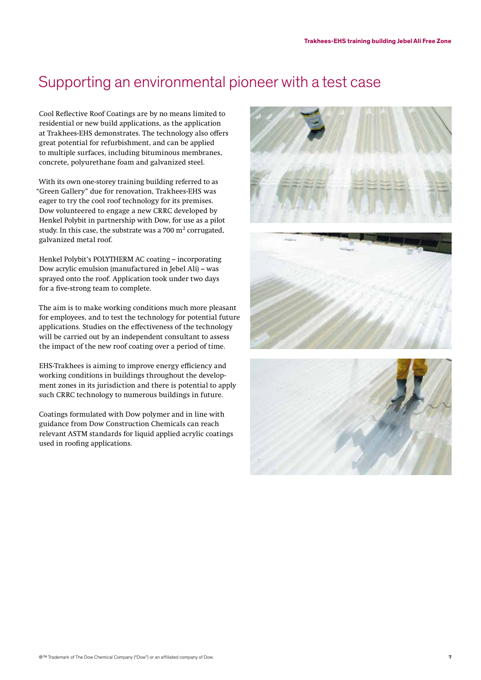## Supporting an environmental pioneer with a test case

Cool Reflective Roof Coatings are by no means limited to residential or new build applications, as the application at Trakhees-EHS demonstrates. The technology also offers great potential for refurbishment, and can be applied to multiple surfaces, including bituminous membranes, concrete, polyurethane foam and galvanized steel.

With its own one-storey training building referred to as "Green Gallery" due for renovation, Trakhees-EHS was eager to try the cool roof technology for its premises. Dow volunteered to engage a new CRRC developed by Henkel Polybit in partnership with Dow, for use as a pilot study. In this case, the substrate was a  $700 \text{ m}^2$  corrugated, galvanized metal roof.

Henkel Polybit's POLYTHERM AC coating – incorporating Dow acrylic emulsion (manufactured in Jebel Ali) – was sprayed onto the roof. Application took under two days for a five-strong team to complete.

The aim is to make working conditions much more pleasant for employees, and to test the technology for potential future applications. Studies on the effectiveness of the technology will be carried out by an independent consultant to assess the impact of the new roof coating over a period of time.

EHS-Trakhees is aiming to improve energy efficiency and working conditions in buildings throughout the development zones in its jurisdiction and there is potential to apply such CRRC technology to numerous buildings in future.

Coatings formulated with Dow polymer and in line with guidance from Dow Construction Chemicals can reach relevant ASTM standards for liquid applied acrylic coatings used in roofing applications.





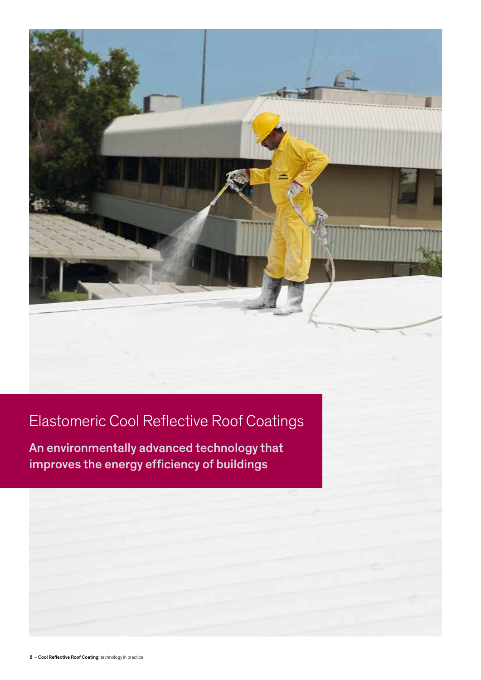# Elastomeric Cool Reflective Roof Coatings

An environmentally advanced technology that improves the energy efficiency of buildings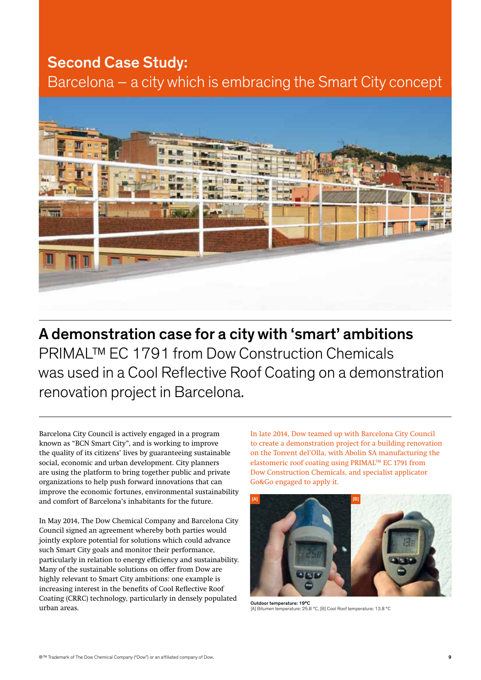### Second Case Study:

Barcelona – a city which is embracing the Smart City concept



A demonstration case for a city with 'smart' ambitions PRIMAL™ EC 1791 from Dow Construction Chemicals was used in a Cool Reflective Roof Coating on a demonstration renovation project in Barcelona.

Barcelona City Council is actively engaged in a program known as "BCN Smart City", and is working to improve the quality of its citizens' lives by guaranteeing sustainable social, economic and urban development. City planners are using the platform to bring together public and private organizations to help push forward innovations that can improve the economic fortunes, environmental sustainability and comfort of Barcelona's inhabitants for the future.

In May 2014, The Dow Chemical Company and Barcelona City Council signed an agreement whereby both parties would jointly explore potential for solutions which could advance such Smart City goals and monitor their performance, particularly in relation to energy efficiency and sustainability. Many of the sustainable solutions on offer from Dow are highly relevant to Smart City ambitions: one example is increasing interest in the benefits of Cool Reflective Roof Coating (CRRC) technology, particularly in densely populated urban areas.

In late 2014, Dow teamed up with Barcelona City Council to create a demonstration project for a building renovation on the Torrent del'Olla, with Abolin SA manufacturing the elastomeric roof coating using PRIMAL™ EC 1791 from Dow Construction Chemicals, and specialist applicator Go&Go engaged to apply it.



Outdoor temperature: 19°C [A] Bitumen temperature: 25.8 °C, [B] Cool Roof temperature: 13.8 °C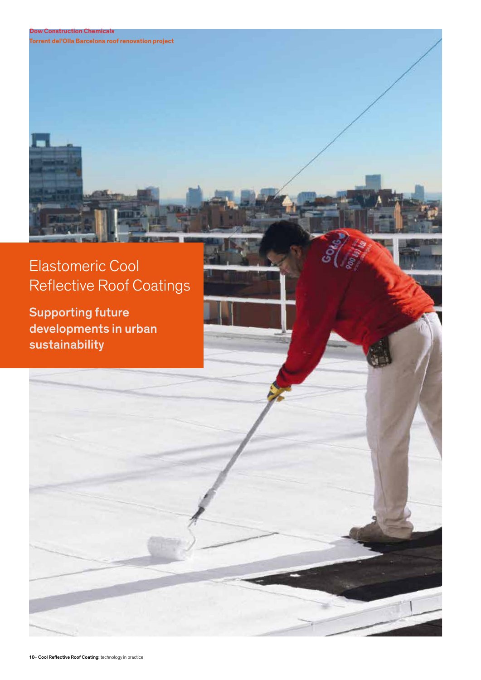### **Dow Construction Chemicals**

**Torrent del'Olla Barcelona roof renovation project**

# Elastomeric Cool Reflective Roof Coatings

Supporting future developments in urban sustainability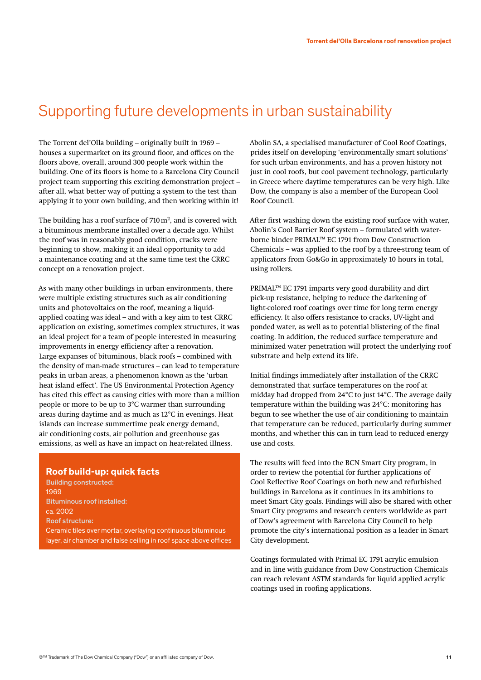### Supporting future developments in urban sustainability

The Torrent del'Olla building – originally built in 1969 – houses a supermarket on its ground floor, and offices on the floors above, overall, around 300 people work within the building. One of its floors is home to a Barcelona City Council project team supporting this exciting demonstration project – after all, what better way of putting a system to the test than applying it to your own building, and then working within it!

The building has a roof surface of  $710 \,\mathrm{m}^2$ , and is covered with a bituminous membrane installed over a decade ago. Whilst the roof was in reasonably good condition, cracks were beginning to show, making it an ideal opportunity to add a maintenance coating and at the same time test the CRRC concept on a renovation project.

As with many other buildings in urban environments, there were multiple existing structures such as air conditioning units and photovoltaics on the roof, meaning a liquidapplied coating was ideal – and with a key aim to test CRRC application on existing, sometimes complex structures, it was an ideal project for a team of people interested in measuring improvements in energy efficiency after a renovation. Large expanses of bituminous, black roofs – combined with the density of man-made structures – can lead to temperature peaks in urban areas, a phenomenon known as the 'urban heat island effect'. The US Environmental Protection Agency has cited this effect as causing cities with more than a million people or more to be up to 3°C warmer than surrounding areas during daytime and as much as 12°C in evenings. Heat islands can increase summertime peak energy demand, air conditioning costs, air pollution and greenhouse gas emissions, as well as have an impact on heat-related illness.

#### **Roof build-up: quick facts**

Building constructed: 1969 Bituminous roof installed: ca. 2002 Roof structure: Ceramic tiles over mortar, overlaying continuous bituminous layer, air chamber and false ceiling in roof space above offices Abolin SA, a specialised manufacturer of Cool Roof Coatings, prides itself on developing 'environmentally smart solutions' for such urban environments, and has a proven history not just in cool roofs, but cool pavement technology, particularly in Greece where daytime temperatures can be very high. Like Dow, the company is also a member of the European Cool Roof Council.

After first washing down the existing roof surface with water, Abolin's Cool Barrier Roof system – formulated with waterborne binder PRIMAL™ EC 1791 from Dow Construction Chemicals – was applied to the roof by a three-strong team of applicators from Go&Go in approximately 10 hours in total, using rollers.

PRIMAL™ EC 1791 imparts very good durability and dirt pick-up resistance, helping to reduce the darkening of light-colored roof coatings over time for long term energy efficiency. It also offers resistance to cracks, UV-light and ponded water, as well as to potential blistering of the final coating. In addition, the reduced surface temperature and minimized water penetration will protect the underlying roof substrate and help extend its life.

Initial findings immediately after installation of the CRRC demonstrated that surface temperatures on the roof at midday had dropped from 24°C to just 14°C. The average daily temperature within the building was 24°C: monitoring has begun to see whether the use of air conditioning to maintain that temperature can be reduced, particularly during summer months, and whether this can in turn lead to reduced energy use and costs.

The results will feed into the BCN Smart City program, in order to review the potential for further applications of Cool Reflective Roof Coatings on both new and refurbished buildings in Barcelona as it continues in its ambitions to meet Smart City goals. Findings will also be shared with other Smart City programs and research centers worldwide as part of Dow's agreement with Barcelona City Council to help promote the city's international position as a leader in Smart City development.

Coatings formulated with Primal EC 1791 acrylic emulsion and in line with guidance from Dow Construction Chemicals can reach relevant ASTM standards for liquid applied acrylic coatings used in roofing applications.